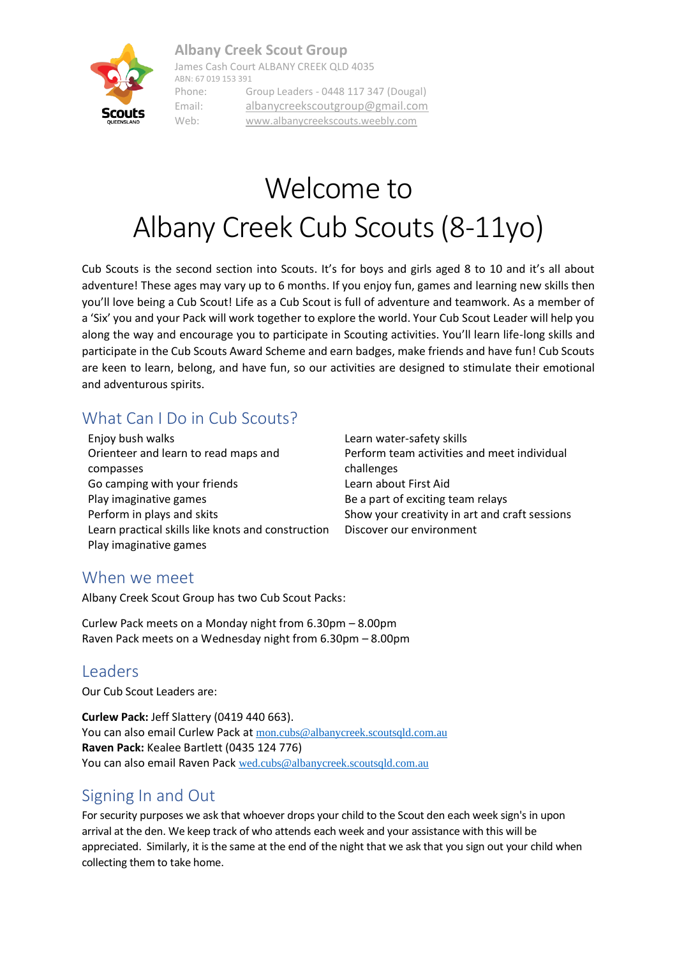#### **Albany Creek Scout Group**



James Cash Court ALBANY CREEK QLD 4035 ABN: 67 019 153 391 Phone: Group Leaders - 0448 117 347 (Dougal) Email: [albanycreekscoutgroup@gmail.com](mailto:albanycreekscoutgroup@gmail.com) Web: [www.albanycreekscouts.weebly.com](http://www.albanycreekscouts.weebly.com/)

# Welcome to Albany Creek Cub Scouts (8-11yo)

Cub Scouts is the second section into Scouts. It's for boys and girls aged 8 to 10 and it's all about adventure! These ages may vary up to 6 months. If you enjoy fun, games and learning new skills then you'll love being a Cub Scout! Life as a Cub Scout is full of adventure and teamwork. As a member of a 'Six' you and your Pack will work together to explore the world. Your Cub Scout Leader will help you along the way and encourage you to participate in Scouting activities. You'll learn life-long skills and participate in the Cub Scouts Award Scheme and earn badges, make friends and have fun! Cub Scouts are keen to learn, belong, and have fun, so our activities are designed to stimulate their emotional and adventurous spirits.

## What Can I Do in Cub Scouts?

Enjoy bush walks Learn water-safety skills Orienteer and learn to read maps and compasses Go camping with your friends Learn about First Aid Play imaginative games **Be a part of exciting team relays** Be a part of exciting team relays Perform in plays and skits Show your creativity in art and craft sessions Learn practical skills like knots and construction Discover our environment Play imaginative games

Perform team activities and meet individual challenges

#### When we meet

Albany Creek Scout Group has two Cub Scout Packs:

Curlew Pack meets on a Monday night from 6.30pm – 8.00pm Raven Pack meets on a Wednesday night from 6.30pm – 8.00pm

#### Leaders

Our Cub Scout Leaders are:

**Curlew Pack:** Jeff Slattery (0419 440 663). You can also email Curlew Pack at [mon.cubs@albanycreek.scoutsqld.com.au](mailto:mon.cubs@albanycreek.scoutsqld.com.au) **Raven Pack:** Kealee Bartlett (0435 124 776) You can also email Raven Pack [wed.cubs@albanycreek.scoutsqld.com.au](mailto:wed.cubs@albanycreek.scoutsqld.com.au)

### Signing In and Out

For security purposes we ask that whoever drops your child to the Scout den each week sign's in upon arrival at the den. We keep track of who attends each week and your assistance with this will be appreciated. Similarly, it is the same at the end of the night that we ask that you sign out your child when collecting them to take home.